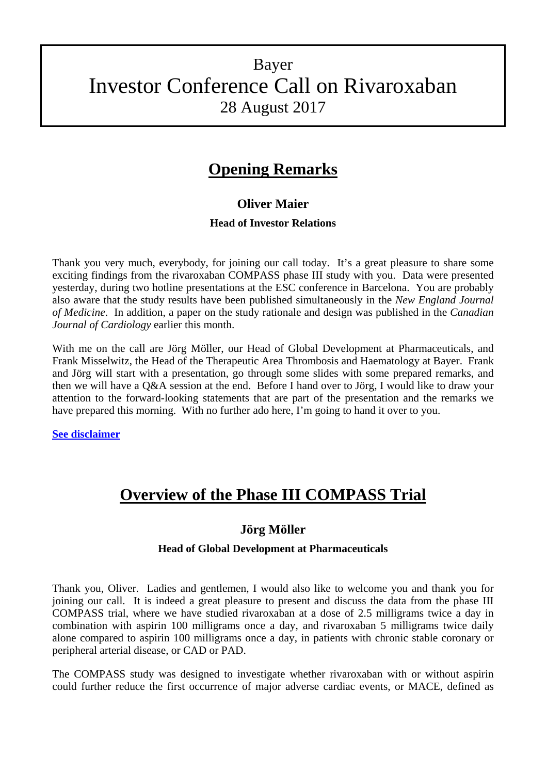# Bayer Investor Conference Call on Rivaroxaban 28 August 2017

## **Opening Remarks**

### **Oliver Maier**

#### **Head of Investor Relations**

Thank you very much, everybody, for joining our call today. It's a great pleasure to share some exciting findings from the rivaroxaban COMPASS phase III study with you. Data were presented yesterday, during two hotline presentations at the ESC conference in Barcelona. You are probably also aware that the study results have been published simultaneously in the *New England Journal of Medicine*. In addition, a paper on the study rationale and design was published in the *Canadian Journal of Cardiology* earlier this month.

With me on the call are Jörg Möller, our Head of Global Development at Pharmaceuticals, and Frank Misselwitz, the Head of the Therapeutic Area Thrombosis and Haematology at Bayer. Frank and Jörg will start with a presentation, go through some slides with some prepared remarks, and then we will have a Q&A session at the end. Before I hand over to Jörg, I would like to draw your attention to the forward-looking statements that are part of the presentation and the remarks we have prepared this morning. With no further ado here, I'm going to hand it over to you.

**[See disclaimer](#page-14-0)**

# **Overview of the Phase III COMPASS Trial**

### **Jörg Möller**

#### **Head of Global Development at Pharmaceuticals**

Thank you, Oliver. Ladies and gentlemen, I would also like to welcome you and thank you for joining our call. It is indeed a great pleasure to present and discuss the data from the phase III COMPASS trial, where we have studied rivaroxaban at a dose of 2.5 milligrams twice a day in combination with aspirin 100 milligrams once a day, and rivaroxaban 5 milligrams twice daily alone compared to aspirin 100 milligrams once a day, in patients with chronic stable coronary or peripheral arterial disease, or CAD or PAD.

The COMPASS study was designed to investigate whether rivaroxaban with or without aspirin could further reduce the first occurrence of major adverse cardiac events, or MACE, defined as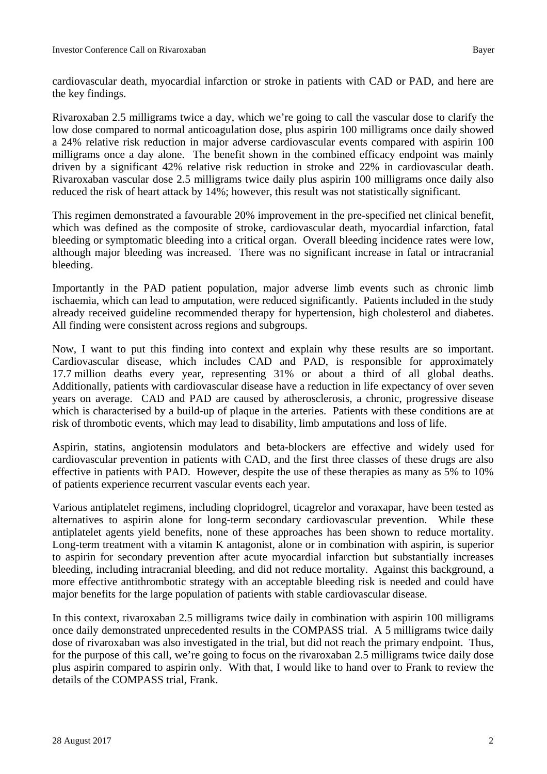Rivaroxaban 2.5 milligrams twice a day, which we're going to call the vascular dose to clarify the low dose compared to normal anticoagulation dose, plus aspirin 100 milligrams once daily showed a 24% relative risk reduction in major adverse cardiovascular events compared with aspirin 100 milligrams once a day alone. The benefit shown in the combined efficacy endpoint was mainly driven by a significant 42% relative risk reduction in stroke and 22% in cardiovascular death. Rivaroxaban vascular dose 2.5 milligrams twice daily plus aspirin 100 milligrams once daily also reduced the risk of heart attack by 14%; however, this result was not statistically significant.

This regimen demonstrated a favourable 20% improvement in the pre-specified net clinical benefit, which was defined as the composite of stroke, cardiovascular death, myocardial infarction, fatal bleeding or symptomatic bleeding into a critical organ. Overall bleeding incidence rates were low, although major bleeding was increased. There was no significant increase in fatal or intracranial bleeding.

Importantly in the PAD patient population, major adverse limb events such as chronic limb ischaemia, which can lead to amputation, were reduced significantly. Patients included in the study already received guideline recommended therapy for hypertension, high cholesterol and diabetes. All finding were consistent across regions and subgroups.

Now, I want to put this finding into context and explain why these results are so important. Cardiovascular disease, which includes CAD and PAD, is responsible for approximately 17.7 million deaths every year, representing 31% or about a third of all global deaths. Additionally, patients with cardiovascular disease have a reduction in life expectancy of over seven years on average. CAD and PAD are caused by atherosclerosis, a chronic, progressive disease which is characterised by a build-up of plaque in the arteries. Patients with these conditions are at risk of thrombotic events, which may lead to disability, limb amputations and loss of life.

Aspirin, statins, angiotensin modulators and beta-blockers are effective and widely used for cardiovascular prevention in patients with CAD, and the first three classes of these drugs are also effective in patients with PAD. However, despite the use of these therapies as many as 5% to 10% of patients experience recurrent vascular events each year.

Various antiplatelet regimens, including clopridogrel, ticagrelor and voraxapar, have been tested as alternatives to aspirin alone for long-term secondary cardiovascular prevention. While these antiplatelet agents yield benefits, none of these approaches has been shown to reduce mortality. Long-term treatment with a vitamin K antagonist, alone or in combination with aspirin, is superior to aspirin for secondary prevention after acute myocardial infarction but substantially increases bleeding, including intracranial bleeding, and did not reduce mortality. Against this background, a more effective antithrombotic strategy with an acceptable bleeding risk is needed and could have major benefits for the large population of patients with stable cardiovascular disease.

In this context, rivaroxaban 2.5 milligrams twice daily in combination with aspirin 100 milligrams once daily demonstrated unprecedented results in the COMPASS trial. A 5 milligrams twice daily dose of rivaroxaban was also investigated in the trial, but did not reach the primary endpoint. Thus, for the purpose of this call, we're going to focus on the rivaroxaban 2.5 milligrams twice daily dose plus aspirin compared to aspirin only. With that, I would like to hand over to Frank to review the details of the COMPASS trial, Frank.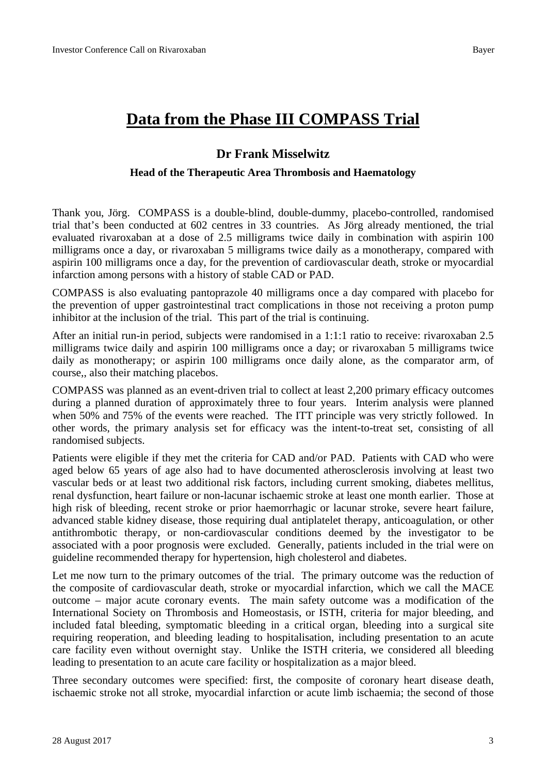## **Data from the Phase III COMPASS Trial**

### **Dr Frank Misselwitz**

#### **Head of the Therapeutic Area Thrombosis and Haematology**

Thank you, Jörg. COMPASS is a double-blind, double-dummy, placebo-controlled, randomised trial that's been conducted at 602 centres in 33 countries. As Jörg already mentioned, the trial evaluated rivaroxaban at a dose of 2.5 milligrams twice daily in combination with aspirin 100 milligrams once a day, or rivaroxaban 5 milligrams twice daily as a monotherapy, compared with aspirin 100 milligrams once a day, for the prevention of cardiovascular death, stroke or myocardial infarction among persons with a history of stable CAD or PAD.

COMPASS is also evaluating pantoprazole 40 milligrams once a day compared with placebo for the prevention of upper gastrointestinal tract complications in those not receiving a proton pump inhibitor at the inclusion of the trial. This part of the trial is continuing.

After an initial run-in period, subjects were randomised in a 1:1:1 ratio to receive: rivaroxaban 2.5 milligrams twice daily and aspirin 100 milligrams once a day; or rivaroxaban 5 milligrams twice daily as monotherapy; or aspirin 100 milligrams once daily alone, as the comparator arm, of course,, also their matching placebos.

COMPASS was planned as an event-driven trial to collect at least 2,200 primary efficacy outcomes during a planned duration of approximately three to four years. Interim analysis were planned when 50% and 75% of the events were reached. The ITT principle was very strictly followed. In other words, the primary analysis set for efficacy was the intent-to-treat set, consisting of all randomised subjects.

Patients were eligible if they met the criteria for CAD and/or PAD. Patients with CAD who were aged below 65 years of age also had to have documented atherosclerosis involving at least two vascular beds or at least two additional risk factors, including current smoking, diabetes mellitus, renal dysfunction, heart failure or non-lacunar ischaemic stroke at least one month earlier. Those at high risk of bleeding, recent stroke or prior haemorrhagic or lacunar stroke, severe heart failure, advanced stable kidney disease, those requiring dual antiplatelet therapy, anticoagulation, or other antithrombotic therapy, or non-cardiovascular conditions deemed by the investigator to be associated with a poor prognosis were excluded. Generally, patients included in the trial were on guideline recommended therapy for hypertension, high cholesterol and diabetes.

Let me now turn to the primary outcomes of the trial. The primary outcome was the reduction of the composite of cardiovascular death, stroke or myocardial infarction, which we call the MACE outcome – major acute coronary events. The main safety outcome was a modification of the International Society on Thrombosis and Homeostasis, or ISTH, criteria for major bleeding, and included fatal bleeding, symptomatic bleeding in a critical organ, bleeding into a surgical site requiring reoperation, and bleeding leading to hospitalisation, including presentation to an acute care facility even without overnight stay. Unlike the ISTH criteria, we considered all bleeding leading to presentation to an acute care facility or hospitalization as a major bleed.

Three secondary outcomes were specified: first, the composite of coronary heart disease death, ischaemic stroke not all stroke, myocardial infarction or acute limb ischaemia; the second of those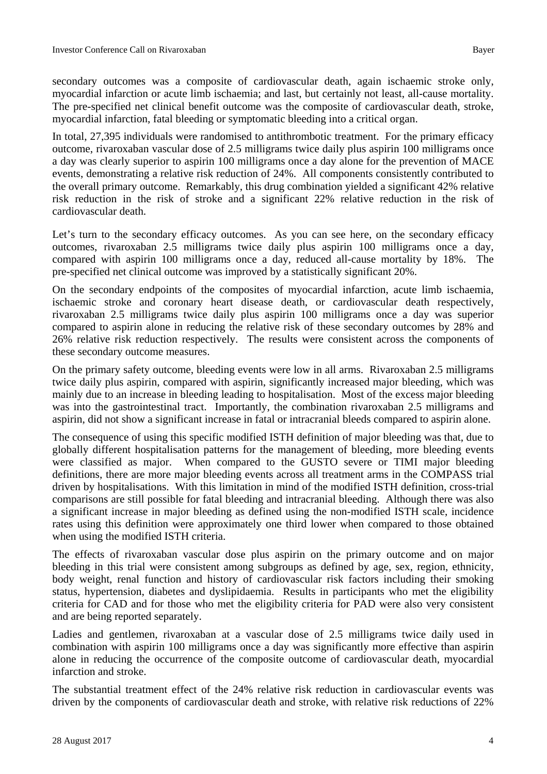secondary outcomes was a composite of cardiovascular death, again ischaemic stroke only, myocardial infarction or acute limb ischaemia; and last, but certainly not least, all-cause mortality. The pre-specified net clinical benefit outcome was the composite of cardiovascular death, stroke, myocardial infarction, fatal bleeding or symptomatic bleeding into a critical organ.

In total, 27,395 individuals were randomised to antithrombotic treatment. For the primary efficacy outcome, rivaroxaban vascular dose of 2.5 milligrams twice daily plus aspirin 100 milligrams once a day was clearly superior to aspirin 100 milligrams once a day alone for the prevention of MACE events, demonstrating a relative risk reduction of 24%. All components consistently contributed to the overall primary outcome. Remarkably, this drug combination yielded a significant 42% relative risk reduction in the risk of stroke and a significant 22% relative reduction in the risk of cardiovascular death.

Let's turn to the secondary efficacy outcomes. As you can see here, on the secondary efficacy outcomes, rivaroxaban 2.5 milligrams twice daily plus aspirin 100 milligrams once a day, compared with aspirin 100 milligrams once a day, reduced all-cause mortality by 18%. The pre-specified net clinical outcome was improved by a statistically significant 20%.

On the secondary endpoints of the composites of myocardial infarction, acute limb ischaemia, ischaemic stroke and coronary heart disease death, or cardiovascular death respectively, rivaroxaban 2.5 milligrams twice daily plus aspirin 100 milligrams once a day was superior compared to aspirin alone in reducing the relative risk of these secondary outcomes by 28% and 26% relative risk reduction respectively. The results were consistent across the components of these secondary outcome measures.

On the primary safety outcome, bleeding events were low in all arms. Rivaroxaban 2.5 milligrams twice daily plus aspirin, compared with aspirin, significantly increased major bleeding, which was mainly due to an increase in bleeding leading to hospitalisation. Most of the excess major bleeding was into the gastrointestinal tract. Importantly, the combination rivaroxaban 2.5 milligrams and aspirin, did not show a significant increase in fatal or intracranial bleeds compared to aspirin alone.

The consequence of using this specific modified ISTH definition of major bleeding was that, due to globally different hospitalisation patterns for the management of bleeding, more bleeding events were classified as major. When compared to the GUSTO severe or TIMI major bleeding definitions, there are more major bleeding events across all treatment arms in the COMPASS trial driven by hospitalisations. With this limitation in mind of the modified ISTH definition, cross-trial comparisons are still possible for fatal bleeding and intracranial bleeding. Although there was also a significant increase in major bleeding as defined using the non-modified ISTH scale, incidence rates using this definition were approximately one third lower when compared to those obtained when using the modified ISTH criteria.

The effects of rivaroxaban vascular dose plus aspirin on the primary outcome and on major bleeding in this trial were consistent among subgroups as defined by age, sex, region, ethnicity, body weight, renal function and history of cardiovascular risk factors including their smoking status, hypertension, diabetes and dyslipidaemia. Results in participants who met the eligibility criteria for CAD and for those who met the eligibility criteria for PAD were also very consistent and are being reported separately.

Ladies and gentlemen, rivaroxaban at a vascular dose of 2.5 milligrams twice daily used in combination with aspirin 100 milligrams once a day was significantly more effective than aspirin alone in reducing the occurrence of the composite outcome of cardiovascular death, myocardial infarction and stroke.

The substantial treatment effect of the 24% relative risk reduction in cardiovascular events was driven by the components of cardiovascular death and stroke, with relative risk reductions of 22%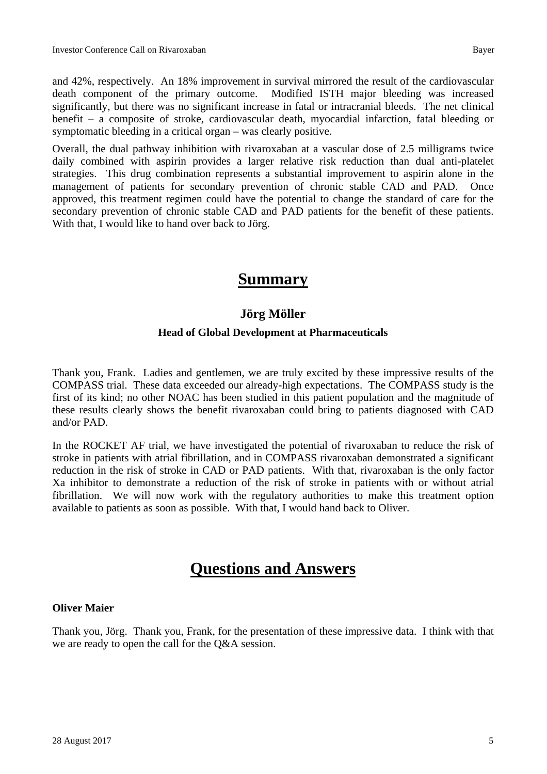and 42%, respectively. An 18% improvement in survival mirrored the result of the cardiovascular death component of the primary outcome. Modified ISTH major bleeding was increased significantly, but there was no significant increase in fatal or intracranial bleeds. The net clinical benefit – a composite of stroke, cardiovascular death, myocardial infarction, fatal bleeding or symptomatic bleeding in a critical organ – was clearly positive.

Overall, the dual pathway inhibition with rivaroxaban at a vascular dose of 2.5 milligrams twice daily combined with aspirin provides a larger relative risk reduction than dual anti-platelet strategies. This drug combination represents a substantial improvement to aspirin alone in the management of patients for secondary prevention of chronic stable CAD and PAD. Once approved, this treatment regimen could have the potential to change the standard of care for the secondary prevention of chronic stable CAD and PAD patients for the benefit of these patients. With that, I would like to hand over back to Jörg.

## **Summary**

### **Jörg Möller**

#### **Head of Global Development at Pharmaceuticals**

Thank you, Frank. Ladies and gentlemen, we are truly excited by these impressive results of the COMPASS trial. These data exceeded our already-high expectations. The COMPASS study is the first of its kind; no other NOAC has been studied in this patient population and the magnitude of these results clearly shows the benefit rivaroxaban could bring to patients diagnosed with CAD and/or PAD.

In the ROCKET AF trial, we have investigated the potential of rivaroxaban to reduce the risk of stroke in patients with atrial fibrillation, and in COMPASS rivaroxaban demonstrated a significant reduction in the risk of stroke in CAD or PAD patients. With that, rivaroxaban is the only factor Xa inhibitor to demonstrate a reduction of the risk of stroke in patients with or without atrial fibrillation. We will now work with the regulatory authorities to make this treatment option available to patients as soon as possible. With that, I would hand back to Oliver.

# **Questions and Answers**

#### **Oliver Maier**

Thank you, Jörg. Thank you, Frank, for the presentation of these impressive data. I think with that we are ready to open the call for the Q&A session.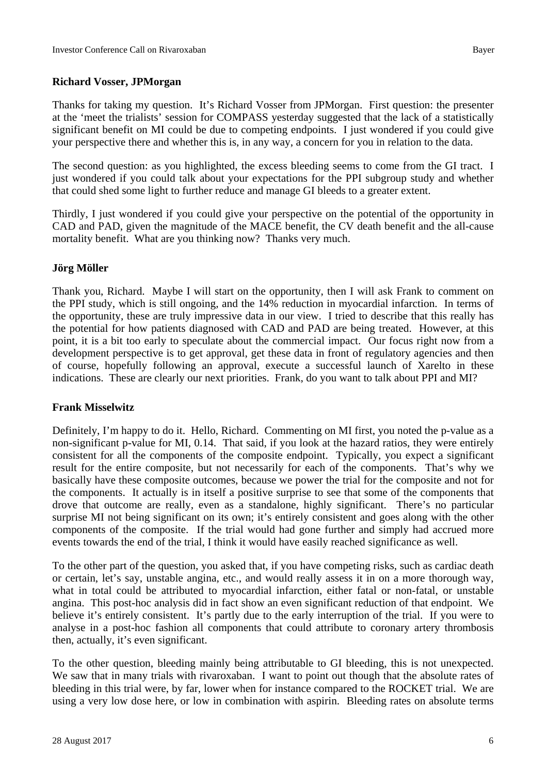#### **Richard Vosser, JPMorgan**

Thanks for taking my question. It's Richard Vosser from JPMorgan. First question: the presenter at the 'meet the trialists' session for COMPASS yesterday suggested that the lack of a statistically significant benefit on MI could be due to competing endpoints. I just wondered if you could give your perspective there and whether this is, in any way, a concern for you in relation to the data.

The second question: as you highlighted, the excess bleeding seems to come from the GI tract. I just wondered if you could talk about your expectations for the PPI subgroup study and whether that could shed some light to further reduce and manage GI bleeds to a greater extent.

Thirdly, I just wondered if you could give your perspective on the potential of the opportunity in CAD and PAD, given the magnitude of the MACE benefit, the CV death benefit and the all-cause mortality benefit. What are you thinking now? Thanks very much.

#### **Jörg Möller**

Thank you, Richard. Maybe I will start on the opportunity, then I will ask Frank to comment on the PPI study, which is still ongoing, and the 14% reduction in myocardial infarction. In terms of the opportunity, these are truly impressive data in our view. I tried to describe that this really has the potential for how patients diagnosed with CAD and PAD are being treated. However, at this point, it is a bit too early to speculate about the commercial impact. Our focus right now from a development perspective is to get approval, get these data in front of regulatory agencies and then of course, hopefully following an approval, execute a successful launch of Xarelto in these indications. These are clearly our next priorities. Frank, do you want to talk about PPI and MI?

#### **Frank Misselwitz**

Definitely, I'm happy to do it. Hello, Richard. Commenting on MI first, you noted the p-value as a non-significant p-value for MI, 0.14. That said, if you look at the hazard ratios, they were entirely consistent for all the components of the composite endpoint. Typically, you expect a significant result for the entire composite, but not necessarily for each of the components. That's why we basically have these composite outcomes, because we power the trial for the composite and not for the components. It actually is in itself a positive surprise to see that some of the components that drove that outcome are really, even as a standalone, highly significant. There's no particular surprise MI not being significant on its own; it's entirely consistent and goes along with the other components of the composite. If the trial would had gone further and simply had accrued more events towards the end of the trial, I think it would have easily reached significance as well.

To the other part of the question, you asked that, if you have competing risks, such as cardiac death or certain, let's say, unstable angina, etc., and would really assess it in on a more thorough way, what in total could be attributed to myocardial infarction, either fatal or non-fatal, or unstable angina. This post-hoc analysis did in fact show an even significant reduction of that endpoint. We believe it's entirely consistent. It's partly due to the early interruption of the trial. If you were to analyse in a post-hoc fashion all components that could attribute to coronary artery thrombosis then, actually, it's even significant.

To the other question, bleeding mainly being attributable to GI bleeding, this is not unexpected. We saw that in many trials with rivaroxaban. I want to point out though that the absolute rates of bleeding in this trial were, by far, lower when for instance compared to the ROCKET trial. We are using a very low dose here, or low in combination with aspirin. Bleeding rates on absolute terms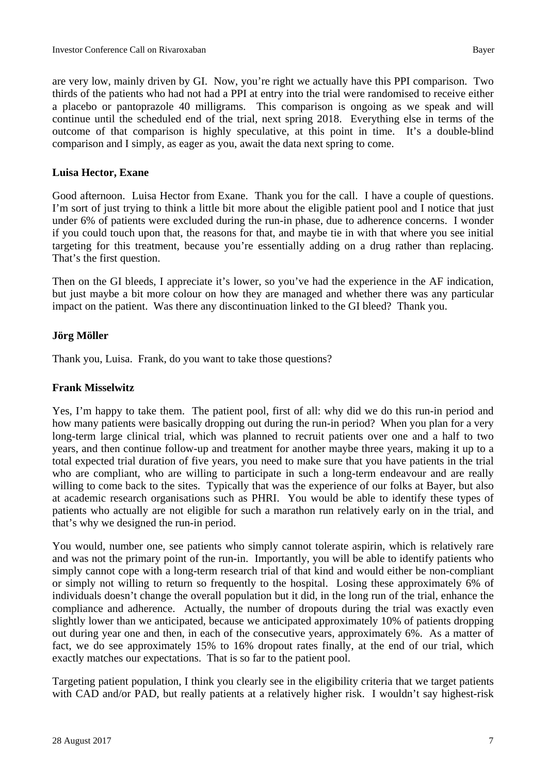are very low, mainly driven by GI. Now, you're right we actually have this PPI comparison. Two thirds of the patients who had not had a PPI at entry into the trial were randomised to receive either a placebo or pantoprazole 40 milligrams. This comparison is ongoing as we speak and will continue until the scheduled end of the trial, next spring 2018. Everything else in terms of the outcome of that comparison is highly speculative, at this point in time. It's a double-blind comparison and I simply, as eager as you, await the data next spring to come.

#### **Luisa Hector, Exane**

Good afternoon. Luisa Hector from Exane. Thank you for the call. I have a couple of questions. I'm sort of just trying to think a little bit more about the eligible patient pool and I notice that just under 6% of patients were excluded during the run-in phase, due to adherence concerns. I wonder if you could touch upon that, the reasons for that, and maybe tie in with that where you see initial targeting for this treatment, because you're essentially adding on a drug rather than replacing. That's the first question.

Then on the GI bleeds, I appreciate it's lower, so you've had the experience in the AF indication, but just maybe a bit more colour on how they are managed and whether there was any particular impact on the patient. Was there any discontinuation linked to the GI bleed? Thank you.

#### **Jörg Möller**

Thank you, Luisa. Frank, do you want to take those questions?

#### **Frank Misselwitz**

Yes, I'm happy to take them. The patient pool, first of all: why did we do this run-in period and how many patients were basically dropping out during the run-in period? When you plan for a very long-term large clinical trial, which was planned to recruit patients over one and a half to two years, and then continue follow-up and treatment for another maybe three years, making it up to a total expected trial duration of five years, you need to make sure that you have patients in the trial who are compliant, who are willing to participate in such a long-term endeavour and are really willing to come back to the sites. Typically that was the experience of our folks at Bayer, but also at academic research organisations such as PHRI. You would be able to identify these types of patients who actually are not eligible for such a marathon run relatively early on in the trial, and that's why we designed the run-in period.

You would, number one, see patients who simply cannot tolerate aspirin, which is relatively rare and was not the primary point of the run-in. Importantly, you will be able to identify patients who simply cannot cope with a long-term research trial of that kind and would either be non-compliant or simply not willing to return so frequently to the hospital. Losing these approximately 6% of individuals doesn't change the overall population but it did, in the long run of the trial, enhance the compliance and adherence. Actually, the number of dropouts during the trial was exactly even slightly lower than we anticipated, because we anticipated approximately 10% of patients dropping out during year one and then, in each of the consecutive years, approximately 6%. As a matter of fact, we do see approximately 15% to 16% dropout rates finally, at the end of our trial, which exactly matches our expectations. That is so far to the patient pool.

Targeting patient population, I think you clearly see in the eligibility criteria that we target patients with CAD and/or PAD, but really patients at a relatively higher risk. I wouldn't say highest-risk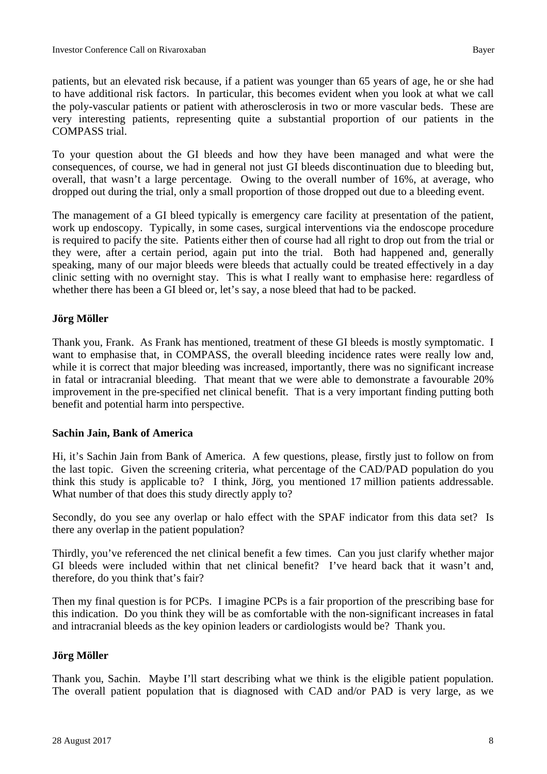patients, but an elevated risk because, if a patient was younger than 65 years of age, he or she had to have additional risk factors. In particular, this becomes evident when you look at what we call the poly-vascular patients or patient with atherosclerosis in two or more vascular beds. These are very interesting patients, representing quite a substantial proportion of our patients in the COMPASS trial.

To your question about the GI bleeds and how they have been managed and what were the consequences, of course, we had in general not just GI bleeds discontinuation due to bleeding but, overall, that wasn't a large percentage. Owing to the overall number of 16%, at average, who dropped out during the trial, only a small proportion of those dropped out due to a bleeding event.

The management of a GI bleed typically is emergency care facility at presentation of the patient, work up endoscopy. Typically, in some cases, surgical interventions via the endoscope procedure is required to pacify the site. Patients either then of course had all right to drop out from the trial or they were, after a certain period, again put into the trial. Both had happened and, generally speaking, many of our major bleeds were bleeds that actually could be treated effectively in a day clinic setting with no overnight stay. This is what I really want to emphasise here: regardless of whether there has been a GI bleed or, let's say, a nose bleed that had to be packed.

#### **Jörg Möller**

Thank you, Frank. As Frank has mentioned, treatment of these GI bleeds is mostly symptomatic. I want to emphasise that, in COMPASS, the overall bleeding incidence rates were really low and, while it is correct that major bleeding was increased, importantly, there was no significant increase in fatal or intracranial bleeding. That meant that we were able to demonstrate a favourable 20% improvement in the pre-specified net clinical benefit. That is a very important finding putting both benefit and potential harm into perspective.

#### **Sachin Jain, Bank of America**

Hi, it's Sachin Jain from Bank of America. A few questions, please, firstly just to follow on from the last topic. Given the screening criteria, what percentage of the CAD/PAD population do you think this study is applicable to? I think, Jörg, you mentioned 17 million patients addressable. What number of that does this study directly apply to?

Secondly, do you see any overlap or halo effect with the SPAF indicator from this data set? Is there any overlap in the patient population?

Thirdly, you've referenced the net clinical benefit a few times. Can you just clarify whether major GI bleeds were included within that net clinical benefit? I've heard back that it wasn't and, therefore, do you think that's fair?

Then my final question is for PCPs. I imagine PCPs is a fair proportion of the prescribing base for this indication. Do you think they will be as comfortable with the non-significant increases in fatal and intracranial bleeds as the key opinion leaders or cardiologists would be? Thank you.

#### **Jörg Möller**

Thank you, Sachin. Maybe I'll start describing what we think is the eligible patient population. The overall patient population that is diagnosed with CAD and/or PAD is very large, as we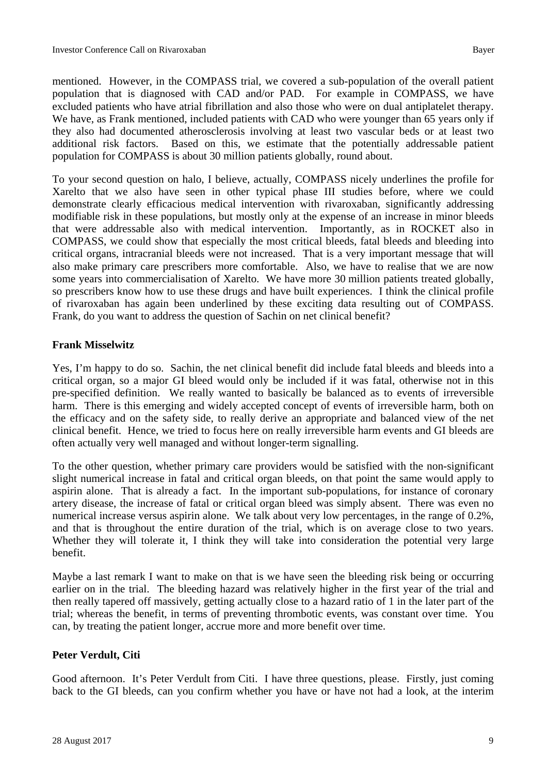mentioned. However, in the COMPASS trial, we covered a sub-population of the overall patient population that is diagnosed with CAD and/or PAD. For example in COMPASS, we have excluded patients who have atrial fibrillation and also those who were on dual antiplatelet therapy. We have, as Frank mentioned, included patients with CAD who were younger than 65 years only if they also had documented atherosclerosis involving at least two vascular beds or at least two additional risk factors. Based on this, we estimate that the potentially addressable patient population for COMPASS is about 30 million patients globally, round about.

To your second question on halo, I believe, actually, COMPASS nicely underlines the profile for Xarelto that we also have seen in other typical phase III studies before, where we could demonstrate clearly efficacious medical intervention with rivaroxaban, significantly addressing modifiable risk in these populations, but mostly only at the expense of an increase in minor bleeds that were addressable also with medical intervention. Importantly, as in ROCKET also in COMPASS, we could show that especially the most critical bleeds, fatal bleeds and bleeding into critical organs, intracranial bleeds were not increased. That is a very important message that will also make primary care prescribers more comfortable. Also, we have to realise that we are now some years into commercialisation of Xarelto. We have more 30 million patients treated globally, so prescribers know how to use these drugs and have built experiences. I think the clinical profile of rivaroxaban has again been underlined by these exciting data resulting out of COMPASS. Frank, do you want to address the question of Sachin on net clinical benefit?

#### **Frank Misselwitz**

Yes, I'm happy to do so. Sachin, the net clinical benefit did include fatal bleeds and bleeds into a critical organ, so a major GI bleed would only be included if it was fatal, otherwise not in this pre-specified definition. We really wanted to basically be balanced as to events of irreversible harm. There is this emerging and widely accepted concept of events of irreversible harm, both on the efficacy and on the safety side, to really derive an appropriate and balanced view of the net clinical benefit. Hence, we tried to focus here on really irreversible harm events and GI bleeds are often actually very well managed and without longer-term signalling.

To the other question, whether primary care providers would be satisfied with the non-significant slight numerical increase in fatal and critical organ bleeds, on that point the same would apply to aspirin alone. That is already a fact. In the important sub-populations, for instance of coronary artery disease, the increase of fatal or critical organ bleed was simply absent. There was even no numerical increase versus aspirin alone. We talk about very low percentages, in the range of 0.2%, and that is throughout the entire duration of the trial, which is on average close to two years. Whether they will tolerate it, I think they will take into consideration the potential very large benefit.

Maybe a last remark I want to make on that is we have seen the bleeding risk being or occurring earlier on in the trial. The bleeding hazard was relatively higher in the first year of the trial and then really tapered off massively, getting actually close to a hazard ratio of 1 in the later part of the trial; whereas the benefit, in terms of preventing thrombotic events, was constant over time. You can, by treating the patient longer, accrue more and more benefit over time.

#### **Peter Verdult, Citi**

Good afternoon. It's Peter Verdult from Citi. I have three questions, please. Firstly, just coming back to the GI bleeds, can you confirm whether you have or have not had a look, at the interim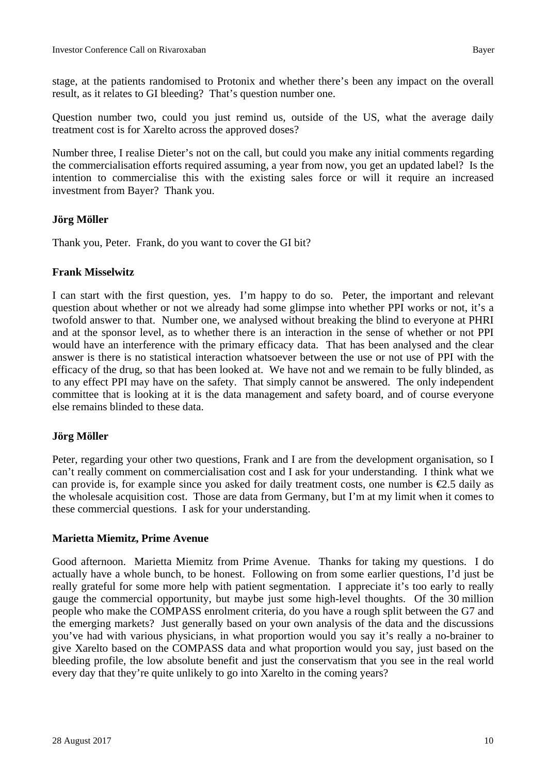stage, at the patients randomised to Protonix and whether there's been any impact on the overall result, as it relates to GI bleeding? That's question number one.

Question number two, could you just remind us, outside of the US, what the average daily treatment cost is for Xarelto across the approved doses?

Number three, I realise Dieter's not on the call, but could you make any initial comments regarding the commercialisation efforts required assuming, a year from now, you get an updated label? Is the intention to commercialise this with the existing sales force or will it require an increased investment from Bayer? Thank you.

#### **Jörg Möller**

Thank you, Peter. Frank, do you want to cover the GI bit?

#### **Frank Misselwitz**

I can start with the first question, yes. I'm happy to do so. Peter, the important and relevant question about whether or not we already had some glimpse into whether PPI works or not, it's a twofold answer to that. Number one, we analysed without breaking the blind to everyone at PHRI and at the sponsor level, as to whether there is an interaction in the sense of whether or not PPI would have an interference with the primary efficacy data. That has been analysed and the clear answer is there is no statistical interaction whatsoever between the use or not use of PPI with the efficacy of the drug, so that has been looked at. We have not and we remain to be fully blinded, as to any effect PPI may have on the safety. That simply cannot be answered. The only independent committee that is looking at it is the data management and safety board, and of course everyone else remains blinded to these data.

#### **Jörg Möller**

Peter, regarding your other two questions, Frank and I are from the development organisation, so I can't really comment on commercialisation cost and I ask for your understanding. I think what we can provide is, for example since you asked for daily treatment costs, one number is  $\epsilon$ 2.5 daily as the wholesale acquisition cost. Those are data from Germany, but I'm at my limit when it comes to these commercial questions. I ask for your understanding.

#### **Marietta Miemitz, Prime Avenue**

Good afternoon. Marietta Miemitz from Prime Avenue. Thanks for taking my questions. I do actually have a whole bunch, to be honest. Following on from some earlier questions, I'd just be really grateful for some more help with patient segmentation. I appreciate it's too early to really gauge the commercial opportunity, but maybe just some high-level thoughts. Of the 30 million people who make the COMPASS enrolment criteria, do you have a rough split between the G7 and the emerging markets? Just generally based on your own analysis of the data and the discussions you've had with various physicians, in what proportion would you say it's really a no-brainer to give Xarelto based on the COMPASS data and what proportion would you say, just based on the bleeding profile, the low absolute benefit and just the conservatism that you see in the real world every day that they're quite unlikely to go into Xarelto in the coming years?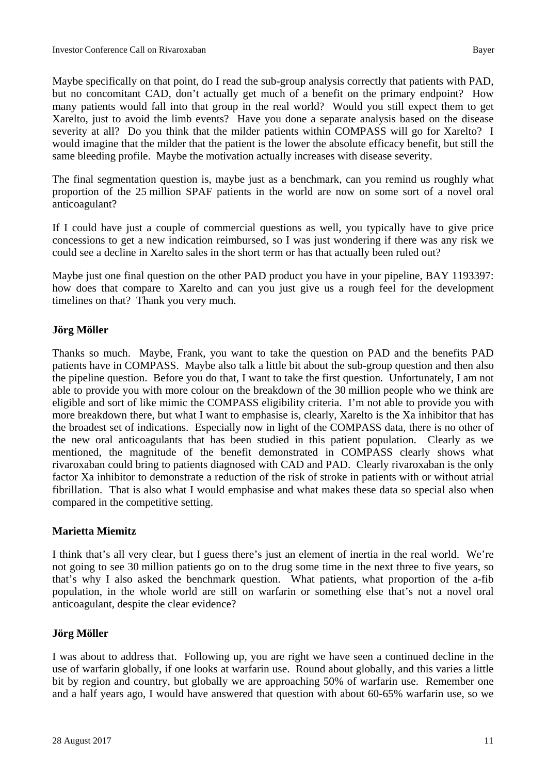Maybe specifically on that point, do I read the sub-group analysis correctly that patients with PAD, but no concomitant CAD, don't actually get much of a benefit on the primary endpoint? How many patients would fall into that group in the real world? Would you still expect them to get Xarelto, just to avoid the limb events? Have you done a separate analysis based on the disease severity at all? Do you think that the milder patients within COMPASS will go for Xarelto? I would imagine that the milder that the patient is the lower the absolute efficacy benefit, but still the same bleeding profile. Maybe the motivation actually increases with disease severity.

The final segmentation question is, maybe just as a benchmark, can you remind us roughly what proportion of the 25 million SPAF patients in the world are now on some sort of a novel oral anticoagulant?

If I could have just a couple of commercial questions as well, you typically have to give price concessions to get a new indication reimbursed, so I was just wondering if there was any risk we could see a decline in Xarelto sales in the short term or has that actually been ruled out?

Maybe just one final question on the other PAD product you have in your pipeline, BAY 1193397: how does that compare to Xarelto and can you just give us a rough feel for the development timelines on that? Thank you very much.

#### **Jörg Möller**

Thanks so much. Maybe, Frank, you want to take the question on PAD and the benefits PAD patients have in COMPASS. Maybe also talk a little bit about the sub-group question and then also the pipeline question. Before you do that, I want to take the first question. Unfortunately, I am not able to provide you with more colour on the breakdown of the 30 million people who we think are eligible and sort of like mimic the COMPASS eligibility criteria. I'm not able to provide you with more breakdown there, but what I want to emphasise is, clearly, Xarelto is the Xa inhibitor that has the broadest set of indications. Especially now in light of the COMPASS data, there is no other of the new oral anticoagulants that has been studied in this patient population. Clearly as we mentioned, the magnitude of the benefit demonstrated in COMPASS clearly shows what rivaroxaban could bring to patients diagnosed with CAD and PAD. Clearly rivaroxaban is the only factor Xa inhibitor to demonstrate a reduction of the risk of stroke in patients with or without atrial fibrillation. That is also what I would emphasise and what makes these data so special also when compared in the competitive setting.

#### **Marietta Miemitz**

I think that's all very clear, but I guess there's just an element of inertia in the real world. We're not going to see 30 million patients go on to the drug some time in the next three to five years, so that's why I also asked the benchmark question. What patients, what proportion of the a-fib population, in the whole world are still on warfarin or something else that's not a novel oral anticoagulant, despite the clear evidence?

#### **Jörg Möller**

I was about to address that. Following up, you are right we have seen a continued decline in the use of warfarin globally, if one looks at warfarin use. Round about globally, and this varies a little bit by region and country, but globally we are approaching 50% of warfarin use. Remember one and a half years ago, I would have answered that question with about 60-65% warfarin use, so we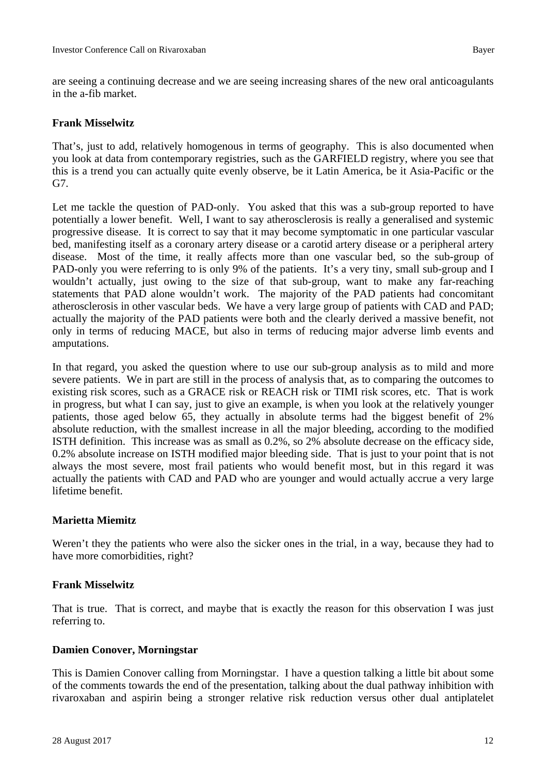are seeing a continuing decrease and we are seeing increasing shares of the new oral anticoagulants in the a-fib market.

#### **Frank Misselwitz**

That's, just to add, relatively homogenous in terms of geography. This is also documented when you look at data from contemporary registries, such as the GARFIELD registry, where you see that this is a trend you can actually quite evenly observe, be it Latin America, be it Asia-Pacific or the G7.

Let me tackle the question of PAD-only. You asked that this was a sub-group reported to have potentially a lower benefit. Well, I want to say atherosclerosis is really a generalised and systemic progressive disease. It is correct to say that it may become symptomatic in one particular vascular bed, manifesting itself as a coronary artery disease or a carotid artery disease or a peripheral artery disease. Most of the time, it really affects more than one vascular bed, so the sub-group of PAD-only you were referring to is only 9% of the patients. It's a very tiny, small sub-group and I wouldn't actually, just owing to the size of that sub-group, want to make any far-reaching statements that PAD alone wouldn't work. The majority of the PAD patients had concomitant atherosclerosis in other vascular beds. We have a very large group of patients with CAD and PAD; actually the majority of the PAD patients were both and the clearly derived a massive benefit, not only in terms of reducing MACE, but also in terms of reducing major adverse limb events and amputations.

In that regard, you asked the question where to use our sub-group analysis as to mild and more severe patients. We in part are still in the process of analysis that, as to comparing the outcomes to existing risk scores, such as a GRACE risk or REACH risk or TIMI risk scores, etc. That is work in progress, but what I can say, just to give an example, is when you look at the relatively younger patients, those aged below 65, they actually in absolute terms had the biggest benefit of 2% absolute reduction, with the smallest increase in all the major bleeding, according to the modified ISTH definition. This increase was as small as 0.2%, so 2% absolute decrease on the efficacy side, 0.2% absolute increase on ISTH modified major bleeding side. That is just to your point that is not always the most severe, most frail patients who would benefit most, but in this regard it was actually the patients with CAD and PAD who are younger and would actually accrue a very large lifetime benefit.

#### **Marietta Miemitz**

Weren't they the patients who were also the sicker ones in the trial, in a way, because they had to have more comorbidities, right?

#### **Frank Misselwitz**

That is true. That is correct, and maybe that is exactly the reason for this observation I was just referring to.

#### **Damien Conover, Morningstar**

This is Damien Conover calling from Morningstar. I have a question talking a little bit about some of the comments towards the end of the presentation, talking about the dual pathway inhibition with rivaroxaban and aspirin being a stronger relative risk reduction versus other dual antiplatelet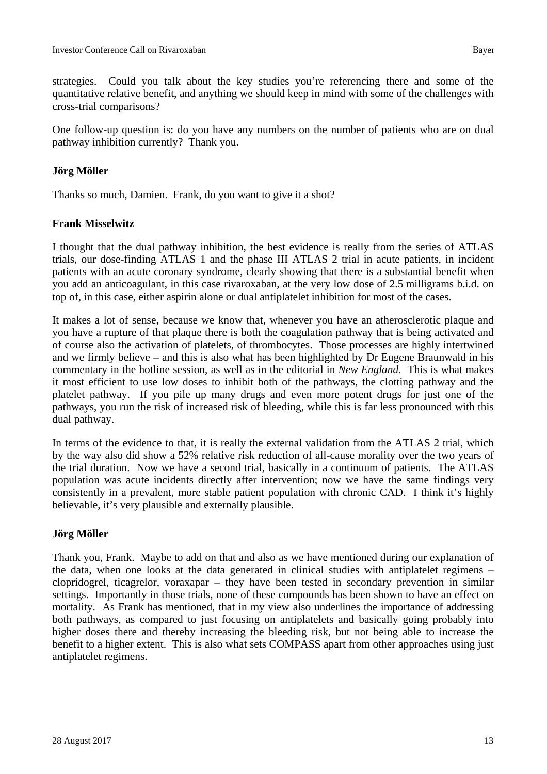strategies. Could you talk about the key studies you're referencing there and some of the quantitative relative benefit, and anything we should keep in mind with some of the challenges with cross-trial comparisons?

One follow-up question is: do you have any numbers on the number of patients who are on dual pathway inhibition currently? Thank you.

#### **Jörg Möller**

Thanks so much, Damien. Frank, do you want to give it a shot?

#### **Frank Misselwitz**

I thought that the dual pathway inhibition, the best evidence is really from the series of ATLAS trials, our dose-finding ATLAS 1 and the phase III ATLAS 2 trial in acute patients, in incident patients with an acute coronary syndrome, clearly showing that there is a substantial benefit when you add an anticoagulant, in this case rivaroxaban, at the very low dose of 2.5 milligrams b.i.d. on top of, in this case, either aspirin alone or dual antiplatelet inhibition for most of the cases.

It makes a lot of sense, because we know that, whenever you have an atherosclerotic plaque and you have a rupture of that plaque there is both the coagulation pathway that is being activated and of course also the activation of platelets, of thrombocytes. Those processes are highly intertwined and we firmly believe – and this is also what has been highlighted by Dr Eugene Braunwald in his commentary in the hotline session, as well as in the editorial in *New England*. This is what makes it most efficient to use low doses to inhibit both of the pathways, the clotting pathway and the platelet pathway. If you pile up many drugs and even more potent drugs for just one of the pathways, you run the risk of increased risk of bleeding, while this is far less pronounced with this dual pathway.

In terms of the evidence to that, it is really the external validation from the ATLAS 2 trial, which by the way also did show a 52% relative risk reduction of all-cause morality over the two years of the trial duration. Now we have a second trial, basically in a continuum of patients. The ATLAS population was acute incidents directly after intervention; now we have the same findings very consistently in a prevalent, more stable patient population with chronic CAD. I think it's highly believable, it's very plausible and externally plausible.

#### **Jörg Möller**

Thank you, Frank. Maybe to add on that and also as we have mentioned during our explanation of the data, when one looks at the data generated in clinical studies with antiplatelet regimens – clopridogrel, ticagrelor, voraxapar – they have been tested in secondary prevention in similar settings. Importantly in those trials, none of these compounds has been shown to have an effect on mortality. As Frank has mentioned, that in my view also underlines the importance of addressing both pathways, as compared to just focusing on antiplatelets and basically going probably into higher doses there and thereby increasing the bleeding risk, but not being able to increase the benefit to a higher extent. This is also what sets COMPASS apart from other approaches using just antiplatelet regimens.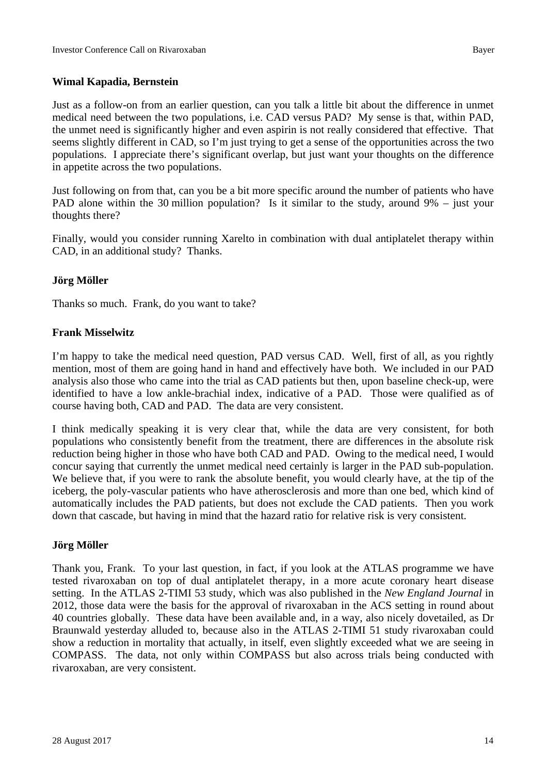#### **Wimal Kapadia, Bernstein**

Just as a follow-on from an earlier question, can you talk a little bit about the difference in unmet medical need between the two populations, i.e. CAD versus PAD? My sense is that, within PAD, the unmet need is significantly higher and even aspirin is not really considered that effective. That seems slightly different in CAD, so I'm just trying to get a sense of the opportunities across the two populations. I appreciate there's significant overlap, but just want your thoughts on the difference in appetite across the two populations.

Just following on from that, can you be a bit more specific around the number of patients who have PAD alone within the 30 million population? Is it similar to the study, around 9% – just your thoughts there?

Finally, would you consider running Xarelto in combination with dual antiplatelet therapy within CAD, in an additional study? Thanks.

#### **Jörg Möller**

Thanks so much. Frank, do you want to take?

#### **Frank Misselwitz**

I'm happy to take the medical need question, PAD versus CAD. Well, first of all, as you rightly mention, most of them are going hand in hand and effectively have both. We included in our PAD analysis also those who came into the trial as CAD patients but then, upon baseline check-up, were identified to have a low ankle-brachial index, indicative of a PAD. Those were qualified as of course having both, CAD and PAD. The data are very consistent.

I think medically speaking it is very clear that, while the data are very consistent, for both populations who consistently benefit from the treatment, there are differences in the absolute risk reduction being higher in those who have both CAD and PAD. Owing to the medical need, I would concur saying that currently the unmet medical need certainly is larger in the PAD sub-population. We believe that, if you were to rank the absolute benefit, you would clearly have, at the tip of the iceberg, the poly-vascular patients who have atherosclerosis and more than one bed, which kind of automatically includes the PAD patients, but does not exclude the CAD patients. Then you work down that cascade, but having in mind that the hazard ratio for relative risk is very consistent.

#### **Jörg Möller**

Thank you, Frank. To your last question, in fact, if you look at the ATLAS programme we have tested rivaroxaban on top of dual antiplatelet therapy, in a more acute coronary heart disease setting. In the ATLAS 2-TIMI 53 study, which was also published in the *New England Journal* in 2012, those data were the basis for the approval of rivaroxaban in the ACS setting in round about 40 countries globally. These data have been available and, in a way, also nicely dovetailed, as Dr Braunwald yesterday alluded to, because also in the ATLAS 2-TIMI 51 study rivaroxaban could show a reduction in mortality that actually, in itself, even slightly exceeded what we are seeing in COMPASS. The data, not only within COMPASS but also across trials being conducted with rivaroxaban, are very consistent.